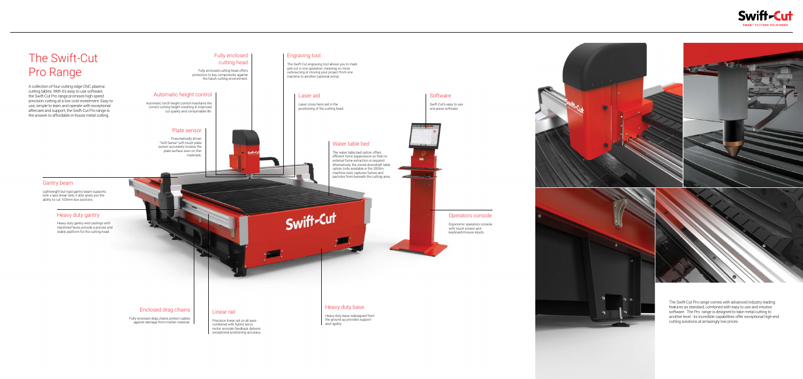# The Swift-Cut Pro Range

A collection of four cutting edge CNC plasma cutting tables. With it's easy to use software, the Swift-Cut Pro range promises high speed precision cutting at a low cost investment. Easy to use, simple to learn and operate with exceptional aftercare and support, the Swift-Cut Pro range is the answer to affordable in-house metal cutting.

## Fully enclosed cutting head

Fully enclosed cutting head offers protection to key components against the harsh cutting environment.

## Enclosed drag chains

Fully enclosed drag chains protect cables against damage from molten material.

The Swift-Cut Pro range comes with advanced industry leading features as standard, combined with easy to use and intuitive software. The Pro range is designed to take metal cutting to another level - its incredible capabilities offer exceptional high-end cutting solutions at amazingly low prices.

Automatic torch height control maintains the correct cutting height resulting in improved cut quality and consumable life.

#### Operators console

Ergonomic operators console with touch screen and keyboard/mouse inputs.



Swift-Cut's easy to use one-piece software

#### Heavy duty base

Heavy duty base redesigned from the ground up provides support and rigidity.



**Software** 

 $\mathbf{m}$ 

## Water table bed

The water table bed option offers efficient fume suppression so that no external fume extraction is required. Alternatively, the zoned downdraft table option (only available in the 3000m machine size) captures fumes and particles from beneath the cutting area.

#### Heavy duty gantry

Heavy duty gantry end castings with machined faces provide a precise and stable platform for the cutting head.

# Swift-Cut

## Automatic height control

### Gantry beam

Lightweight but rigid gantry beam supports twin x-axis linear rails, it also gives you the ability to cut 100mm box sections.

#### Linear rail

Precision linear rail on all axes combined with hybrid servo motor encoder feedback delivers exceptional positioning accuracy.

#### Laser aid

Laser cross hairs aid in the positioning of the cutting head.

### Plate sensor

Pneumatically driven "Soft Sense" soft touch plate sensor accurately locates the plate surface even on thin materials.

### Engraving tool

The Swift-Cut engraving tool allows you to mark and cut in one operation, meaning no more outsourcing or moving your project from one machine to another (optional extra).